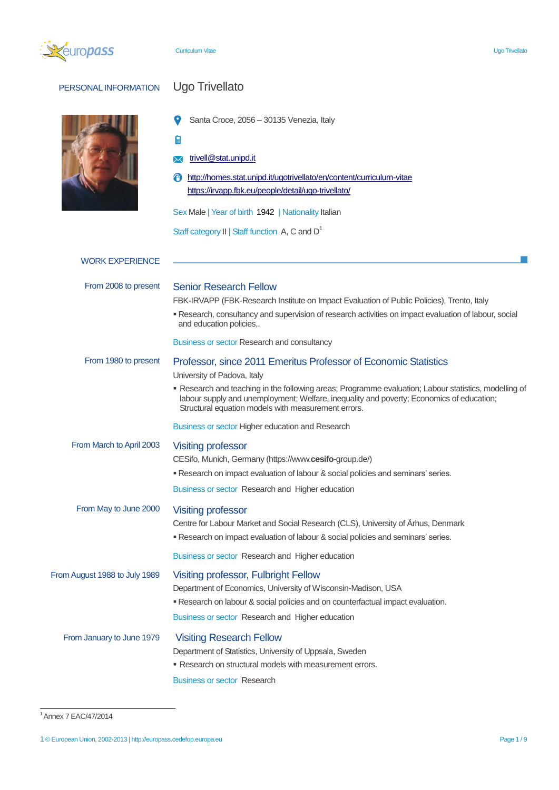

# PERSONAL INFORMATION Ugo Trivellato

 $\bullet$ Santa Croce, 2056 – 30135 Venezia, Italy

自

# **X** [trivell@stat.unipd.it](mailto:trivell@stat.unipd.it)

<http://homes.stat.unipd.it/ugotrivellato/en/content/curriculum-vitae> <https://irvapp.fbk.eu/people/detail/ugo-trivellato/>

Sex Male | Year of birth 1942 | Nationality Italian

Staff category  $II \mid$  Staff function A, C and  $D^1$ 

| <b>WORK EXPERIENCE</b>        |                                                                                                                                                                                                                                                          |
|-------------------------------|----------------------------------------------------------------------------------------------------------------------------------------------------------------------------------------------------------------------------------------------------------|
| From 2008 to present          | <b>Senior Research Fellow</b>                                                                                                                                                                                                                            |
|                               | FBK-IRVAPP (FBK-Research Institute on Impact Evaluation of Public Policies), Trento, Italy                                                                                                                                                               |
|                               | Research, consultancy and supervision of research activities on impact evaluation of labour, social<br>and education policies,.                                                                                                                          |
|                               | Business or sector Research and consultancy                                                                                                                                                                                                              |
| From 1980 to present          | Professor, since 2011 Emeritus Professor of Economic Statistics                                                                                                                                                                                          |
|                               | University of Padova, Italy                                                                                                                                                                                                                              |
|                               | • Research and teaching in the following areas; Programme evaluation; Labour statistics, modelling of<br>labour supply and unemployment; Welfare, inequality and poverty; Economics of education;<br>Structural equation models with measurement errors. |
|                               | Business or sector Higher education and Research                                                                                                                                                                                                         |
| From March to April 2003      | <b>Visiting professor</b>                                                                                                                                                                                                                                |
|                               | CESifo, Munich, Germany (https://www.cesifo-group.de/)                                                                                                                                                                                                   |
|                               | " Research on impact evaluation of labour & social policies and seminars' series.                                                                                                                                                                        |
|                               | Business or sector Research and Higher education                                                                                                                                                                                                         |
| From May to June 2000         | <b>Visiting professor</b>                                                                                                                                                                                                                                |
|                               | Centre for Labour Market and Social Research (CLS), University of Ärhus, Denmark                                                                                                                                                                         |
|                               | . Research on impact evaluation of labour & social policies and seminars' series.                                                                                                                                                                        |
|                               | Business or sector Research and Higher education                                                                                                                                                                                                         |
| From August 1988 to July 1989 | <b>Visiting professor, Fulbright Fellow</b>                                                                                                                                                                                                              |
|                               | Department of Economics, University of Wisconsin-Madison, USA                                                                                                                                                                                            |
|                               | " Research on labour & social policies and on counterfactual impact evaluation.                                                                                                                                                                          |
|                               | Business or sector Research and Higher education                                                                                                                                                                                                         |
| From January to June 1979     | <b>Visiting Research Fellow</b>                                                                                                                                                                                                                          |
|                               | Department of Statistics, University of Uppsala, Sweden                                                                                                                                                                                                  |
|                               | • Research on structural models with measurement errors.                                                                                                                                                                                                 |
|                               | <b>Business or sector Research</b>                                                                                                                                                                                                                       |
|                               |                                                                                                                                                                                                                                                          |

<sup>&</sup>lt;sup>1</sup> Annex 7 EAC/47/2014

<sup>1</sup> © European Union, 2002-2013 | http://europass.cedefop.europa.eu Page 1 / 9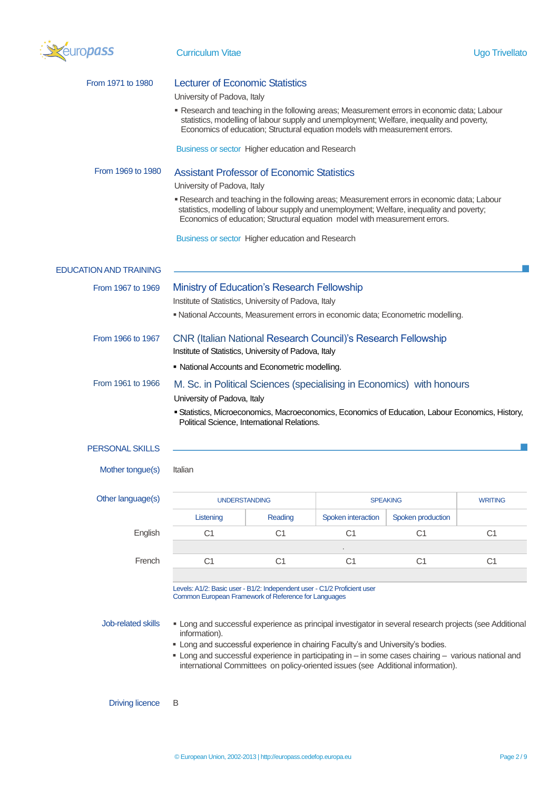

| From 1971 to 1980             | <b>Lecturer of Economic Statistics</b>                                                                                       |                                                                                                                                                                                                                                                                        |                    |                                                                                                                                                                                          |                |  |
|-------------------------------|------------------------------------------------------------------------------------------------------------------------------|------------------------------------------------------------------------------------------------------------------------------------------------------------------------------------------------------------------------------------------------------------------------|--------------------|------------------------------------------------------------------------------------------------------------------------------------------------------------------------------------------|----------------|--|
|                               | University of Padova, Italy                                                                                                  |                                                                                                                                                                                                                                                                        |                    |                                                                                                                                                                                          |                |  |
|                               |                                                                                                                              | Economics of education; Structural equation models with measurement errors.                                                                                                                                                                                            |                    | . Research and teaching in the following areas; Measurement errors in economic data; Labour<br>statistics, modelling of labour supply and unemployment; Welfare, inequality and poverty, |                |  |
|                               |                                                                                                                              | Business or sector Higher education and Research                                                                                                                                                                                                                       |                    |                                                                                                                                                                                          |                |  |
| From 1969 to 1980             | <b>Assistant Professor of Economic Statistics</b>                                                                            |                                                                                                                                                                                                                                                                        |                    |                                                                                                                                                                                          |                |  |
|                               | University of Padova, Italy                                                                                                  |                                                                                                                                                                                                                                                                        |                    |                                                                                                                                                                                          |                |  |
|                               |                                                                                                                              | " Research and teaching in the following areas; Measurement errors in economic data; Labour<br>statistics, modelling of labour supply and unemployment; Welfare, inequality and poverty;<br>Economics of education; Structural equation model with measurement errors. |                    |                                                                                                                                                                                          |                |  |
|                               |                                                                                                                              | Business or sector Higher education and Research                                                                                                                                                                                                                       |                    |                                                                                                                                                                                          |                |  |
| <b>EDUCATION AND TRAINING</b> |                                                                                                                              |                                                                                                                                                                                                                                                                        |                    |                                                                                                                                                                                          |                |  |
| From 1967 to 1969             |                                                                                                                              |                                                                                                                                                                                                                                                                        |                    |                                                                                                                                                                                          |                |  |
|                               |                                                                                                                              | <b>Ministry of Education's Research Fellowship</b><br>Institute of Statistics, University of Padova, Italy                                                                                                                                                             |                    |                                                                                                                                                                                          |                |  |
|                               |                                                                                                                              |                                                                                                                                                                                                                                                                        |                    | · National Accounts, Measurement errors in economic data; Econometric modelling.                                                                                                         |                |  |
|                               |                                                                                                                              |                                                                                                                                                                                                                                                                        |                    |                                                                                                                                                                                          |                |  |
| From 1966 to 1967             | <b>CNR (Italian National Research Council)'s Research Fellowship</b><br>Institute of Statistics, University of Padova, Italy |                                                                                                                                                                                                                                                                        |                    |                                                                                                                                                                                          |                |  |
|                               |                                                                                                                              | • National Accounts and Econometric modelling.                                                                                                                                                                                                                         |                    |                                                                                                                                                                                          |                |  |
|                               |                                                                                                                              |                                                                                                                                                                                                                                                                        |                    |                                                                                                                                                                                          |                |  |
| From 1961 to 1966             |                                                                                                                              |                                                                                                                                                                                                                                                                        |                    | M. Sc. in Political Sciences (specialising in Economics) with honours                                                                                                                    |                |  |
|                               | University of Padova, Italy                                                                                                  |                                                                                                                                                                                                                                                                        |                    |                                                                                                                                                                                          |                |  |
|                               |                                                                                                                              | Political Science, International Relations.                                                                                                                                                                                                                            |                    | · Statistics, Microeconomics, Macroeconomics, Economics of Education, Labour Economics, History,                                                                                         |                |  |
|                               |                                                                                                                              |                                                                                                                                                                                                                                                                        |                    |                                                                                                                                                                                          |                |  |
| <b>PERSONAL SKILLS</b>        |                                                                                                                              |                                                                                                                                                                                                                                                                        |                    |                                                                                                                                                                                          |                |  |
| Mother tongue(s)              | Italian                                                                                                                      |                                                                                                                                                                                                                                                                        |                    |                                                                                                                                                                                          |                |  |
| Other language(s)             | <b>SPEAKING</b><br><b>UNDERSTANDING</b>                                                                                      |                                                                                                                                                                                                                                                                        | <b>WRITING</b>     |                                                                                                                                                                                          |                |  |
|                               | Listening                                                                                                                    | Reading                                                                                                                                                                                                                                                                | Spoken interaction | Spoken production                                                                                                                                                                        |                |  |
| English                       | C <sub>1</sub>                                                                                                               | C <sub>1</sub>                                                                                                                                                                                                                                                         | C <sub>1</sub>     | C <sub>1</sub>                                                                                                                                                                           | C <sub>1</sub> |  |
|                               |                                                                                                                              |                                                                                                                                                                                                                                                                        |                    |                                                                                                                                                                                          |                |  |
| French                        | C <sub>1</sub>                                                                                                               | C <sub>1</sub>                                                                                                                                                                                                                                                         | C1                 | C <sub>1</sub>                                                                                                                                                                           | C <sub>1</sub> |  |
|                               |                                                                                                                              |                                                                                                                                                                                                                                                                        |                    |                                                                                                                                                                                          |                |  |
|                               |                                                                                                                              | Levels: A1/2: Basic user - B1/2: Independent user - C1/2 Proficient user                                                                                                                                                                                               |                    |                                                                                                                                                                                          |                |  |
|                               |                                                                                                                              | Common European Framework of Reference for Languages                                                                                                                                                                                                                   |                    |                                                                                                                                                                                          |                |  |
| Job-related skills            | information).                                                                                                                |                                                                                                                                                                                                                                                                        |                    | • Long and successful experience as principal investigator in several research projects (see Additional                                                                                  |                |  |
|                               |                                                                                                                              | " Long and successful experience in chairing Faculty's and University's bodies.                                                                                                                                                                                        |                    |                                                                                                                                                                                          |                |  |
|                               |                                                                                                                              |                                                                                                                                                                                                                                                                        |                    | " Long and successful experience in participating in - in some cases chairing - various national and                                                                                     |                |  |
|                               |                                                                                                                              |                                                                                                                                                                                                                                                                        |                    | international Committees on policy-oriented issues (see Additional information).                                                                                                         |                |  |
|                               |                                                                                                                              |                                                                                                                                                                                                                                                                        |                    |                                                                                                                                                                                          |                |  |
|                               |                                                                                                                              |                                                                                                                                                                                                                                                                        |                    |                                                                                                                                                                                          |                |  |

Driving licence B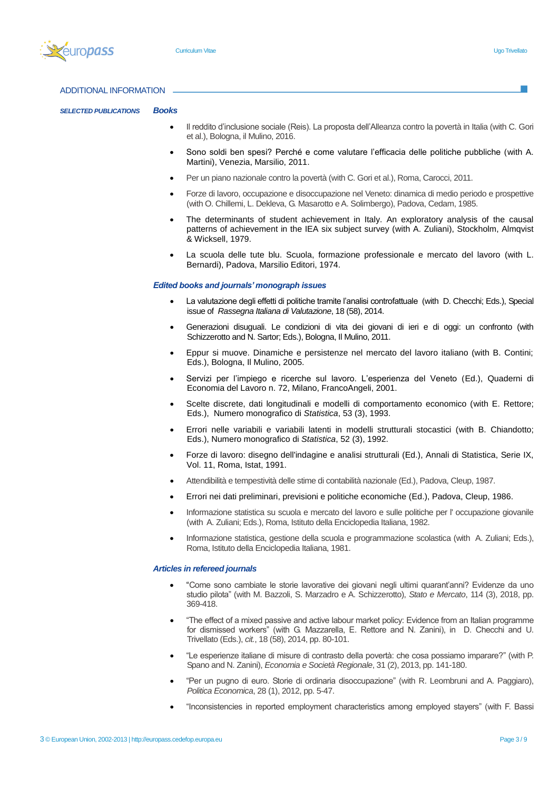

### ADDITIONAL INFORMATION

*SELECTED PUBLICATIONS Books* 

- Il reddito d'inclusione sociale (Reis). La proposta dell'Alleanza contro la povertà in Italia (with C. Gori et al.), Bologna, il Mulino, 2016.
- Sono soldi ben spesi? Perché e come valutare l'efficacia delle politiche pubbliche (with A. Martini), Venezia, Marsilio, 2011.
- Per un piano nazionale contro la povertà (with C. Gori et al.), Roma, Carocci, 2011.
- Forze di lavoro, occupazione e disoccupazione nel Veneto: dinamica di medio periodo e prospettive (with O. Chillemi, L. Dekleva, G. Masarotto e A. Solimbergo), Padova, Cedam, 1985.
- The determinants of student achievement in Italy. An exploratory analysis of the causal patterns of achievement in the IEA six subject survey (with A. Zuliani), Stockholm, Almqvist & Wicksell, 1979.
- La scuola delle tute blu. Scuola, formazione professionale e mercato del lavoro (with L. Bernardi), Padova, Marsilio Editori, 1974.

### *Edited books and journals' monograph issues*

- La valutazione degli effetti di politiche tramite l'analisi controfattuale (with D. Checchi; Eds.), Special issue of *Rassegna Italiana di Valutazione*, 18 (58), 2014.
- Generazioni disuguali. Le condizioni di vita dei giovani di ieri e di oggi: un confronto (with Schizzerotto and N. Sartor; Eds.), Bologna, Il Mulino, 2011.
- Eppur si muove. Dinamiche e persistenze nel mercato del lavoro italiano (with B. Contini; Eds.), Bologna, Il Mulino, 2005.
- Servizi per l'impiego e ricerche sul lavoro. L'esperienza del Veneto (Ed.), Quaderni di Economia del Lavoro n. 72, Milano, FrancoAngeli, 2001.
- Scelte discrete, dati longitudinali e modelli di comportamento economico (with E. Rettore; Eds.), Numero monografico di *Statistica*, 53 (3), 1993.
- Errori nelle variabili e variabili latenti in modelli strutturali stocastici (with B. Chiandotto; Eds.), Numero monografico di *Statistica*, 52 (3), 1992.
- Forze di lavoro: disegno dell'indagine e analisi strutturali (Ed.), Annali di Statistica, Serie IX, Vol. 11, Roma, Istat, 1991.
- Attendibilità e tempestività delle stime di contabilità nazionale (Ed.), Padova, Cleup, 1987.
- Errori nei dati preliminari, previsioni e politiche economiche (Ed.), Padova, Cleup, 1986.
- Informazione statistica su scuola e mercato del lavoro e sulle politiche per l' occupazione giovanile (with A. Zuliani; Eds.), Roma, Istituto della Enciclopedia Italiana, 1982.
- Informazione statistica, gestione della scuola e programmazione scolastica (with A. Zuliani; Eds.), Roma, Istituto della Enciclopedia Italiana, 1981.

#### *Articles in refereed journals*

- "Come sono cambiate le storie lavorative dei giovani negli ultimi quarant'anni? Evidenze da uno studio pilota" (with M. Bazzoli, S. Marzadro e A. Schizzerotto), *Stato e Mercato*, 114 (3), 2018, pp. 369-418.
- "The effect of a mixed passive and active labour market policy: Evidence from an Italian programme for dismissed workers" (with G. Mazzarella, E. Rettore and N. Zanini), in D. Checchi and U. Trivellato (Eds.), *cit.*, 18 (58), 2014, pp. 80-101.
- "Le esperienze italiane di misure di contrasto della povertà: che cosa possiamo imparare?" (with P. Spano and N. Zanini), *Economia e Società Regionale*, 31 (2), 2013, pp. 141-180.
- "Per un pugno di euro. Storie di ordinaria disoccupazione" (with R. Leombruni and A. Paggiaro), *Politica Economica*, 28 (1), 2012, pp. 5-47.
- "Inconsistencies in reported employment characteristics among employed stayers" (with F. Bassi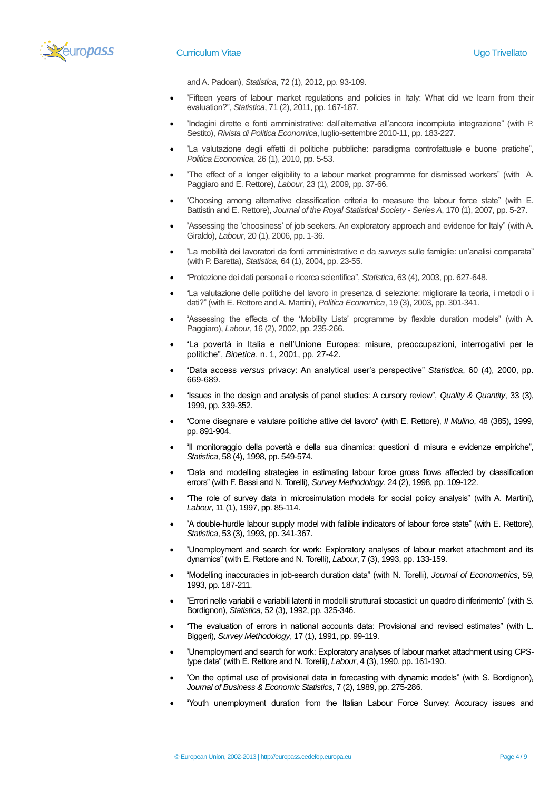

# **Curriculum Vitae Curriculum Vitae Curriculum Vitae Curriculum Vitae Curriculum Vitae Curriculum Vitae Curriculum International Curriculum International Curriculum International Curriculum International Curriculum Internat**

and A. Padoan), *Statistica*, 72 (1), 2012, pp. 93-109.

- "Fifteen years of labour market regulations and policies in Italy: What did we learn from their evaluation?", *Statistica*, 71 (2), 2011, pp. 167-187.
- "Indagini dirette e fonti amministrative: dall'alternativa all'ancora incompiuta integrazione" (with P. Sestito), *Rivista di Politica Economica*, luglio-settembre 2010-11, pp. 183-227.
- "La valutazione degli effetti di politiche pubbliche: paradigma controfattuale e buone pratiche", *Politica Economica*, 26 (1), 2010, pp. 5-53.
- "The effect of a longer eligibility to a labour market programme for dismissed workers" (with A. Paggiaro and E. Rettore), *Labour*, 23 (1), 2009, pp. 37-66.
- "Choosing among alternative classification criteria to measure the labour force state" (with E. Battistin and E. Rettore), *Journal of the Royal Statistical Society - Series A*, 170 (1), 2007, pp. 5-27.
- "Assessing the 'choosiness' of job seekers. An exploratory approach and evidence for Italy" (with A. Giraldo), *Labour*, 20 (1), 2006, pp. 1-36.
- "La mobilità dei lavoratori da fonti amministrative e da *surveys* sulle famiglie: un'analisi comparata" (with P. Baretta), *Statistica*, 64 (1), 2004, pp. 23-55.
- "Protezione dei dati personali e ricerca scientifica", *Statistica*, 63 (4), 2003, pp. 627-648.
- "La valutazione delle politiche del lavoro in presenza di selezione: migliorare la teoria, i metodi o i dati?" (with E. Rettore and A. Martini), *Politica Economica*, 19 (3), 2003, pp. 301-341.
- "Assessing the effects of the 'Mobility Lists' programme by flexible duration models" (with A. Paggiaro), *Labour*, 16 (2), 2002, pp. 235-266.
- "La povertà in Italia e nell'Unione Europea: misure, preoccupazioni, interrogativi per le politiche", *Bioetica*, n. 1, 2001, pp. 27-42.
- "Data access *versus* privacy: An analytical user's perspective" *Statistica*, 60 (4), 2000, pp. 669-689.
- "Issues in the design and analysis of panel studies: A cursory review", *Quality & Quantity*, 33 (3), 1999, pp. 339-352.
- "Come disegnare e valutare politiche attive del lavoro" (with E. Rettore), *Il Mulino*, 48 (385), 1999, pp. 891-904.
- "Il monitoraggio della povertà e della sua dinamica: questioni di misura e evidenze empiriche", *Statistica*, 58 (4), 1998, pp. 549-574.
- "Data and modelling strategies in estimating labour force gross flows affected by classification errors" (with F. Bassi and N. Torelli), *Survey Methodology*, 24 (2), 1998, pp. 109-122.
- "The role of survey data in microsimulation models for social policy analysis" (with A. Martini), *Labour*, 11 (1), 1997, pp. 85-114.
- "A double-hurdle labour supply model with fallible indicators of labour force state" (with E. Rettore), *Statistica*, 53 (3), 1993, pp. 341-367.
- "Unemployment and search for work: Exploratory analyses of labour market attachment and its dynamics" (with E. Rettore and N. Torelli), *Labour*, 7 (3), 1993, pp. 133-159.
- "Modelling inaccuracies in job-search duration data" (with N. Torelli), *Journal of Econometrics*, 59, 1993, pp. 187-211.
- "Errori nelle variabili e variabili latenti in modelli strutturali stocastici: un quadro di riferimento" (with S. Bordignon), *Statistica*, 52 (3), 1992, pp. 325-346.
- "The evaluation of errors in national accounts data: Provisional and revised estimates" (with L. Biggeri), *Survey Methodology*, 17 (1), 1991, pp. 99-119.
- "Unemployment and search for work: Exploratory analyses of labour market attachment using CPStype data" (with E. Rettore and N. Torelli), *Labour*, 4 (3), 1990, pp. 161-190.
- "On the optimal use of provisional data in forecasting with dynamic models" (with S. Bordignon), *Journal of Business & Economic Statistics*, 7 (2), 1989, pp. 275-286.
- "Youth unemployment duration from the Italian Labour Force Survey: Accuracy issues and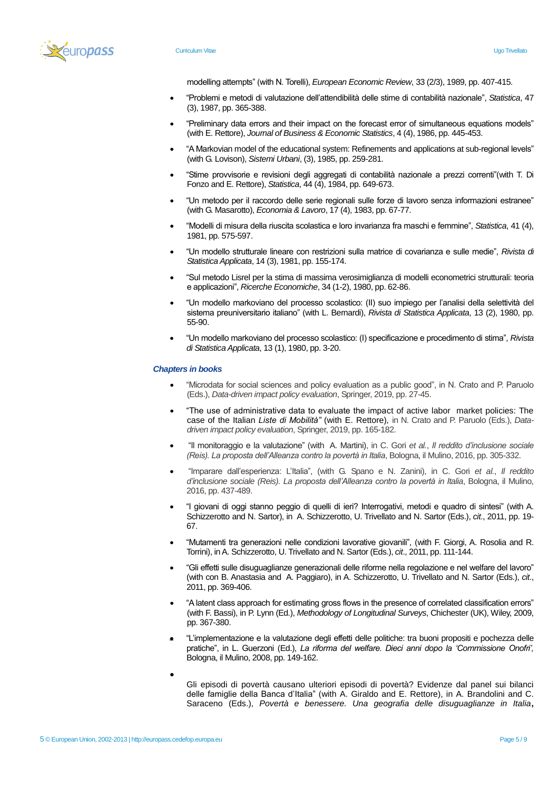

modelling attempts" (with N. Torelli), *European Economic Review*, 33 (2/3), 1989, pp. 407-415.

- "Problemi e metodi di valutazione dell'attendibilità delle stime di contabilità nazionale", *Statistica*, 47 (3), 1987, pp. 365-388.
- "Preliminary data errors and their impact on the forecast error of simultaneous equations models" (with E. Rettore), *Journal of Business & Economic Statistics*, 4 (4), 1986, pp. 445-453.
- "A Markovian model of the educational system: Refinements and applications at sub-regional levels" (with G. Lovison), *Sistemi Urbani*, (3), 1985, pp. 259-281.
- "Stime provvisorie e revisioni degli aggregati di contabilità nazionale a prezzi correnti"(with T. Di Fonzo and E. Rettore), *Statistica*, 44 (4), 1984, pp. 649-673.
- "Un metodo per il raccordo delle serie regionali sulle forze di lavoro senza informazioni estranee" (with G. Masarotto), *Economia & Lavoro*, 17 (4), 1983, pp. 67-77.
- "Modelli di misura della riuscita scolastica e loro invarianza fra maschi e femmine", *Statistica*, 41 (4), 1981, pp. 575-597.
- "Un modello strutturale lineare con restrizioni sulla matrice di covarianza e sulle medie", *Rivista di Statistica Applicata*, 14 (3), 1981, pp. 155-174.
- "Sul metodo Lisrel per la stima di massima verosimiglianza di modelli econometrici strutturali: teoria e applicazioni", *Ricerche Economiche*, 34 (1-2), 1980, pp. 62-86.
- "Un modello markoviano del processo scolastico: (II) suo impiego per l'analisi della selettività del sistema preuniversitario italiano" (with L. Bernardi), *Rivista di Statistica Applicata*, 13 (2), 1980, pp. 55-90.
- "Un modello markoviano del processo scolastico: (I) specificazione e procedimento di stima", *Rivista di Statistica Applicata*, 13 (1), 1980, pp. 3-20.

#### *Chapters in books*

- "Microdata for social sciences and policy evaluation as a public good", in N. Crato and P. Paruolo (Eds.), *Data-driven impact policy evaluation*, Springer, 2019, pp. 27-45.
- "The use of administrative data to evaluate the impact of active labor market policies: The case of the Italian *Liste di Mobilità"* (with E. Rettore)*,* in N. Crato and P. Paruolo (Eds.), *Datadriven impact policy evaluation*, Springer, 2019, pp. 165-182.
- "Il monitoraggio e la valutazione" (with A. Martini), in C. Gori *et al.*, *Il reddito d'inclusione sociale (Reis). La proposta dell'Alleanza contro la povertà in Italia*, Bologna, il Mulino, 2016, pp. 305-332.
- "Imparare dall'esperienza: L'Italia", (with G. Spano e N. Zanini), in C. Gori *et al.*, *Il reddito d'inclusione sociale (Reis). La proposta dell'Alleanza contro la povertà in Italia*, Bologna, il Mulino, 2016, pp. 437-489.
- "I giovani di oggi stanno peggio di quelli di ieri? Interrogativi, metodi e quadro di sintesi" (with A. Schizzerotto and N. Sartor), in A. Schizzerotto, U. Trivellato and N. Sartor (Eds.), *cit*., 2011, pp. 19- 67.
- "Mutamenti tra generazioni nelle condizioni lavorative giovanili", (with F. Giorgi, A. Rosolia and R. Torrini), in A. Schizzerotto, U. Trivellato and N. Sartor (Eds.), *cit*., 2011, pp. 111-144.
- "Gli effetti sulle disuguaglianze generazionali delle riforme nella regolazione e nel welfare del lavoro" (with con B. Anastasia and A. Paggiaro), in A. Schizzerotto, U. Trivellato and N. Sartor (Eds.), *cit*., 2011, pp. 369-406.
- "A latent class approach for estimating gross flows in the presence of correlated classification errors" (with F. Bassi), in P. Lynn (Ed*.*), *Methodology of Longitudinal Surveys*, Chichester (UK), Wiley, 2009, pp. 367-380.
- "L'implementazione e la valutazione degli effetti delle politiche: tra buoni propositi e pochezza delle pratiche", in L. Guerzoni (Ed.), *La riforma del welfare. Dieci anni dopo la 'Commissione Onofri'*, Bologna, il Mulino, 2008, pp. 149-162.
- $\bullet$  GeV and  $\bullet$  GeV and  $\bullet$  GeV and  $\bullet$  GeV and  $\bullet$  GeV and  $\bullet$  GeV and  $\bullet$  GeV and  $\bullet$ Gli episodi di povertà causano ulteriori episodi di povertà? Evidenze dal panel sui bilanci delle famiglie della Banca d'Italia" (with A. Giraldo and E. Rettore), in A. Brandolini and C. Saraceno (Eds.), *Povertà e benessere. Una geografia delle disuguaglianze in Italia***,**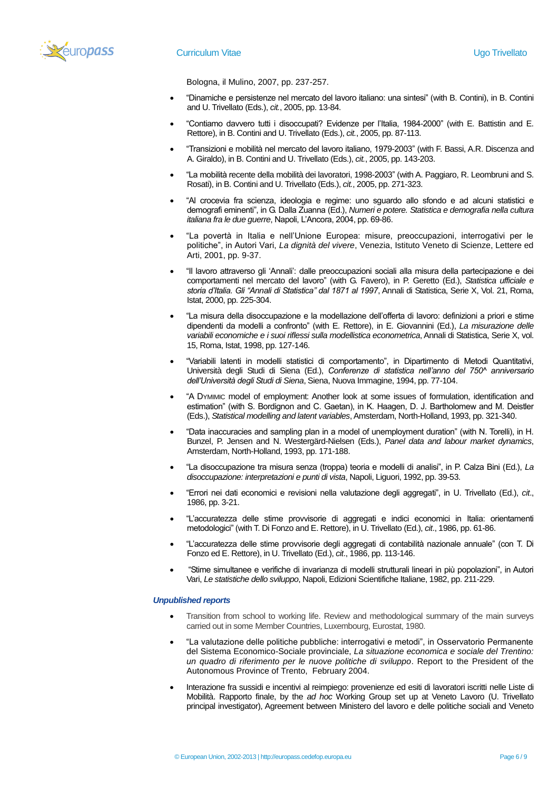

Bologna, il Mulino, 2007, pp. 237-257.

- "Dinamiche e persistenze nel mercato del lavoro italiano: una sintesi" (with B. Contini), in B. Contini and U. Trivellato (Eds.), *cit.*, 2005, pp. 13-84.
- "Contiamo davvero tutti i disoccupati? Evidenze per l'Italia, 1984-2000" (with E. Battistin and E. Rettore), in B. Contini and U. Trivellato (Eds.), *cit.*, 2005, pp. 87-113.
- "Transizioni e mobilità nel mercato del lavoro italiano, 1979-2003" (with F. Bassi, A.R. Discenza and A. Giraldo), in B. Contini and U. Trivellato (Eds.), *cit.*, 2005, pp. 143-203.
- "La mobilità recente della mobilità dei lavoratori, 1998-2003" (with A. Paggiaro, R. Leombruni and S. Rosati), in B. Contini and U. Trivellato (Eds.), *cit.*, 2005, pp. 271-323.
- "Al crocevia fra scienza, ideologia e regime: uno sguardo allo sfondo e ad alcuni statistici e demografi eminenti", in G. Dalla Zuanna (Ed.), *Numeri e potere. Statistica e demografia nella cultura italiana fra le due guerre*, Napoli, L'Ancora, 2004, pp. 69-86.
- "La povertà in Italia e nell'Unione Europea: misure, preoccupazioni, interrogativi per le politiche", in Autori Vari, *La dignità del vivere*, Venezia, Istituto Veneto di Scienze, Lettere ed Arti, 2001, pp. 9-37.
- "Il lavoro attraverso gli 'Annali': dalle preoccupazioni sociali alla misura della partecipazione e dei comportamenti nel mercato del lavoro" (with G. Favero), in P. Geretto (Ed.), *Statistica ufficiale e storia d'Italia. Gli "Annali di Statistica" dal 1871 al 1997*, Annali di Statistica, Serie X, Vol. 21, Roma, Istat, 2000, pp. 225-304.
- "La misura della disoccupazione e la modellazione dell'offerta di lavoro: definizioni a priori e stime dipendenti da modelli a confronto" (with E. Rettore), in E. Giovannini (Ed.), *La misurazione delle variabili economiche e i suoi riflessi sulla modellistica econometrica*, Annali di Statistica, Serie X, vol. 15, Roma, Istat, 1998, pp. 127-146.
- "Variabili latenti in modelli statistici di comportamento", in Dipartimento di Metodi Quantitativi, Università degli Studi di Siena (Ed.), *Conferenze di statistica nell'anno del 750^ anniversario dell'Università degli Studi di Siena*, Siena, Nuova Immagine, 1994, pp. 77-104.
- "A DYMIMIC model of employment: Another look at some issues of formulation, identification and estimation" (with S. Bordignon and C. Gaetan), in K. Haagen, D. J. Bartholomew and M. Deistler (Eds.), *Statistical modelling and latent variables*, Amsterdam, North-Holland, 1993, pp. 321-340.
- "Data inaccuracies and sampling plan in a model of unemployment duration" (with N. Torelli), in H. Bunzel, P. Jensen and N. Westergärd-Nielsen (Eds.), *Panel data and labour market dynamics*, Amsterdam, North-Holland, 1993, pp. 171-188.
- "La disoccupazione tra misura senza (troppa) teoria e modelli di analisi", in P. Calza Bini (Ed.), *La disoccupazione: interpretazioni e punti di vista*, Napoli, Liguori, 1992, pp. 39-53.
- "Errori nei dati economici e revisioni nella valutazione degli aggregati", in U. Trivellato (Ed.), *cit*., 1986, pp. 3-21.
- "L'accuratezza delle stime provvisorie di aggregati e indici economici in Italia: orientamenti metodologici" (with T. Di Fonzo and E. Rettore), in U. Trivellato (Ed.), *cit*., 1986, pp. 61-86.
- "L'accuratezza delle stime provvisorie degli aggregati di contabilità nazionale annuale" (con T. Di Fonzo ed E. Rettore), in U. Trivellato (Ed.), *cit*., 1986, pp. 113-146.
- "Stime simultanee e verifiche di invarianza di modelli strutturali lineari in più popolazioni", in Autori Vari, *Le statistiche dello sviluppo*, Napoli, Edizioni Scientifiche Italiane, 1982, pp. 211-229.

#### *Unpublished reports*

- Transition from school to working life. Review and methodological summary of the main surveys carried out in some Member Countries, Luxembourg, Eurostat, 1980.
- "La valutazione delle politiche pubbliche: interrogativi e metodi", in Osservatorio Permanente del Sistema Economico-Sociale provinciale, *La situazione economica e sociale del Trentino: un quadro di riferimento per le nuove politiche di sviluppo*. Report to the President of the Autonomous Province of Trento, February 2004.
- Interazione fra sussidi e incentivi al reimpiego: provenienze ed esiti di lavoratori iscritti nelle Liste di Mobilità. Rapporto finale, by the *ad hoc* Working Group set up at Veneto Lavoro (U. Trivellato principal investigator), Agreement between Ministero del lavoro e delle politiche sociali and Veneto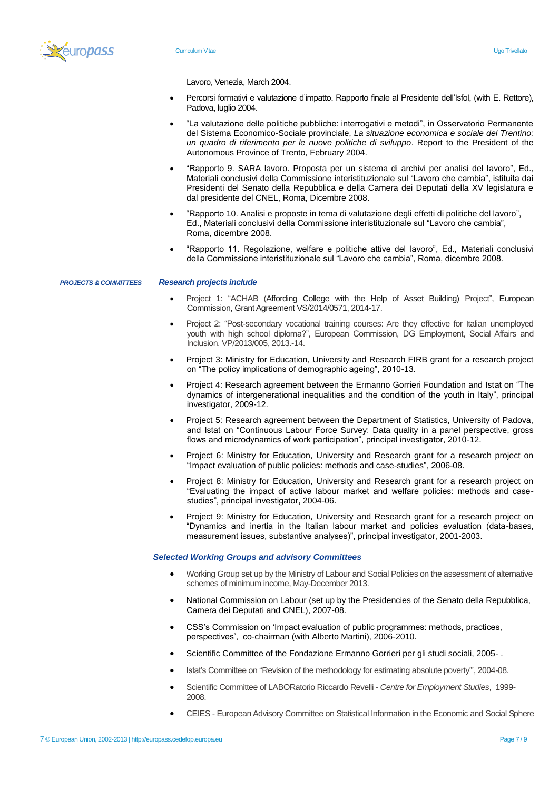

Lavoro, Venezia, March 2004.

- Percorsi formativi e valutazione d'impatto. Rapporto finale al Presidente dell'Isfol, (with E. Rettore), Padova, luglio 2004.
- "La valutazione delle politiche pubbliche: interrogativi e metodi", in Osservatorio Permanente del Sistema Economico-Sociale provinciale, *La situazione economica e sociale del Trentino: un quadro di riferimento per le nuove politiche di sviluppo*. Report to the President of the Autonomous Province of Trento, February 2004.
- "Rapporto 9. SARA lavoro. Proposta per un sistema di archivi per analisi del lavoro", Ed., Materiali conclusivi della Commissione interistituzionale sul "Lavoro che cambia", istituita dai Presidenti del Senato della Repubblica e della Camera dei Deputati della XV legislatura e dal presidente del CNEL, Roma, Dicembre 2008.
- "Rapporto 10. Analisi e proposte in tema di valutazione degli effetti di politiche del lavoro", Ed., Materiali conclusivi della Commissione interistituzionale sul "Lavoro che cambia", Roma, dicembre 2008.
- "Rapporto 11. Regolazione, welfare e politiche attive del lavoro", Ed., Materiali conclusivi della Commissione interistituzionale sul "Lavoro che cambia", Roma, dicembre 2008.

*PROJECTS & COMMITTEES*  **Research projects include** 

- Project 1: "ACHAB (Affording College with the Help of Asset Building) Project", European Commission, Grant Agreement VS/2014/0571, 2014-17.
- Project 2: "Post-secondary vocational training courses: Are they effective for Italian unemployed youth with high school diploma?", European Commission, DG Employment, Social Affairs and Inclusion, VP/2013/005, 2013.-14.
- Project 3: Ministry for Education, University and Research FIRB grant for a research project on "The policy implications of demographic ageing", 2010-13.
- Project 4: Research agreement between the Ermanno Gorrieri Foundation and Istat on "The dynamics of intergenerational inequalities and the condition of the youth in Italy", principal investigator, 2009-12.
- Project 5: Research agreement between the Department of Statistics, University of Padova, and Istat on "Continuous Labour Force Survey: Data quality in a panel perspective, gross flows and microdynamics of work participation", principal investigator, 2010-12.
- Project 6: Ministry for Education, University and Research grant for a research project on "Impact evaluation of public policies: methods and case-studies", 2006-08.
- Project 8: Ministry for Education, University and Research grant for a research project on "Evaluating the impact of active labour market and welfare policies: methods and casestudies", principal investigator, 2004-06.
- Project 9: Ministry for Education, University and Research grant for a research project on "Dynamics and inertia in the Italian labour market and policies evaluation (data-bases, measurement issues, substantive analyses)", principal investigator, 2001-2003.

#### *Selected Working Groups and advisory Committees*

- Working Group set up by the Ministry of Labour and Social Policies on the assessment of alternative schemes of minimum income, May-December 2013.
- National Commission on Labour (set up by the Presidencies of the Senato della Repubblica, Camera dei Deputati and CNEL), 2007-08.
- CSS's Commission on 'Impact evaluation of public programmes: methods, practices, perspectives', co-chairman (with Alberto Martini), 2006-2010.
- Scientific Committee of the Fondazione Ermanno Gorrieri per gli studi sociali, 2005- .
- Istat's Committee on "Revision of the methodology for estimating absolute poverty"', 2004-08.
- Scientific Committee of LABORatorio Riccardo Revelli *Centre for Employment Studies*, 1999- 2008.
- CEIES European Advisory Committee on Statistical Information in the Economic and Social Spheres,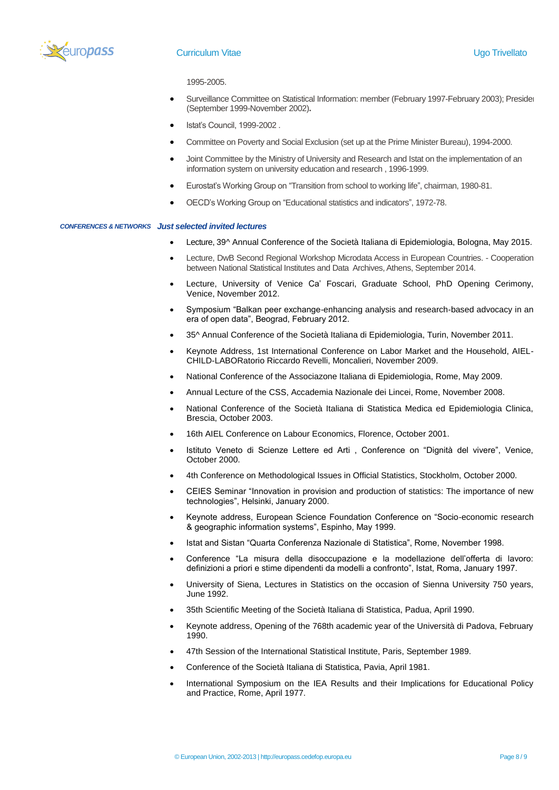

# **Curriculum Vitae Curriculum Vitae Curriculum Vitae Curriculum Vitae Curriculum Vitae Curriculum Vitae Curriculum International Curriculum International Curriculum International Curriculum International Curriculum Internat**

1995-2005.

- Surveillance Committee on Statistical Information: member (February 1997-February 2003); Presider (September 1999-November 2002)**.**
- Istat's Council, 1999-2002 .
- Committee on Poverty and Social Exclusion (set up at the Prime Minister Bureau), 1994-2000.
- Joint Committee by the Ministry of University and Research and Istat on the implementation of an information system on university education and research , 1996-1999.
- Eurostat's Working Group on "Transition from school to working life", chairman, 1980-81.
- OECD's Working Group on "Educational statistics and indicators", 1972-78.

#### *CONFERENCES & NETWORKS Just selected invited lectures*

- Lecture, 39^ Annual Conference of the Società Italiana di Epidemiologia, Bologna, May 2015.
- Lecture, DwB Second Regional Workshop Microdata Access in European Countries. Cooperation between National Statistical Institutes and Data Archives, Athens, September 2014.
- Lecture, University of Venice Ca' Foscari, Graduate School, PhD Opening Cerimony, Venice, November 2012.
- Symposium "Balkan peer exchange-enhancing analysis and research-based advocacy in an era of open data", Beograd, February 2012.
- 35^ Annual Conference of the Società Italiana di Epidemiologia, Turin, November 2011.
- Keynote Address, 1st International Conference on Labor Market and the Household, AIEL-CHILD-LABORatorio Riccardo Revelli, Moncalieri, November 2009.
- National Conference of the Associazone Italiana di Epidemiologia, Rome, May 2009.
- Annual Lecture of the CSS, Accademia Nazionale dei Lincei, Rome, November 2008.
- National Conference of the Società Italiana di Statistica Medica ed Epidemiologia Clinica, Brescia, October 2003.
- 16th AIEL Conference on Labour Economics, Florence, October 2001.
- Istituto Veneto di Scienze Lettere ed Arti , Conference on "Dignità del vivere", Venice, October 2000.
- 4th Conference on Methodological Issues in Official Statistics, Stockholm, October 2000.
- CEIES Seminar "Innovation in provision and production of statistics: The importance of new technologies", Helsinki, January 2000.
- Keynote address, European Science Foundation Conference on "Socio-economic research & geographic information systems", Espinho, May 1999.
- Istat and Sistan "Quarta Conferenza Nazionale di Statistica", Rome, November 1998.
- Conference "La misura della disoccupazione e la modellazione dell'offerta di lavoro: definizioni a priori e stime dipendenti da modelli a confronto", Istat, Roma, January 1997.
- University of Siena, Lectures in Statistics on the occasion of Sienna University 750 years, June 1992.
- 35th Scientific Meeting of the Società Italiana di Statistica, Padua, April 1990.
- Keynote address, Opening of the 768th academic year of the Università di Padova, February 1990.
- 47th Session of the International Statistical Institute, Paris, September 1989.
- Conference of the Società Italiana di Statistica, Pavia, April 1981.
- International Symposium on the IEA Results and their Implications for Educational Policy and Practice, Rome, April 1977.